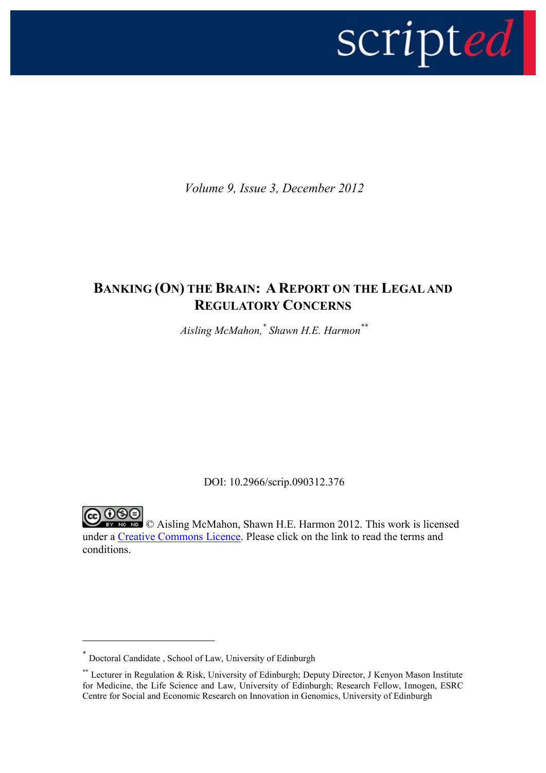

*Volume 9, Issue 3, December 2012*

# **BANKING (ON) THE BRAIN: A REPORT ON THE LEGAL AND REGULATORY CONCERNS**

*Aisling McMahon,\* Shawn H.E. Harmon\*\**

DOI: 10.2966/scrip.090312.376

**EX NO ND** © Aisling McMahon, Shawn H.E. Harmon 2012. This work is licensed under a [Creative Commons Licence.](http://creativecommons.org/licenses/by-nc-nd/2.5/scotland/) Please click on the link to read the terms and conditions.

1

<sup>\*</sup> Doctoral Candidate , School of Law, University of Edinburgh

<sup>\*\*</sup> Lecturer in Regulation & Risk, University of Edinburgh; Deputy Director, J Kenyon Mason Institute for Medicine, the Life Science and Law, University of Edinburgh; Research Fellow, Innogen, ESRC Centre for Social and Economic Research on Innovation in Genomics, University of Edinburgh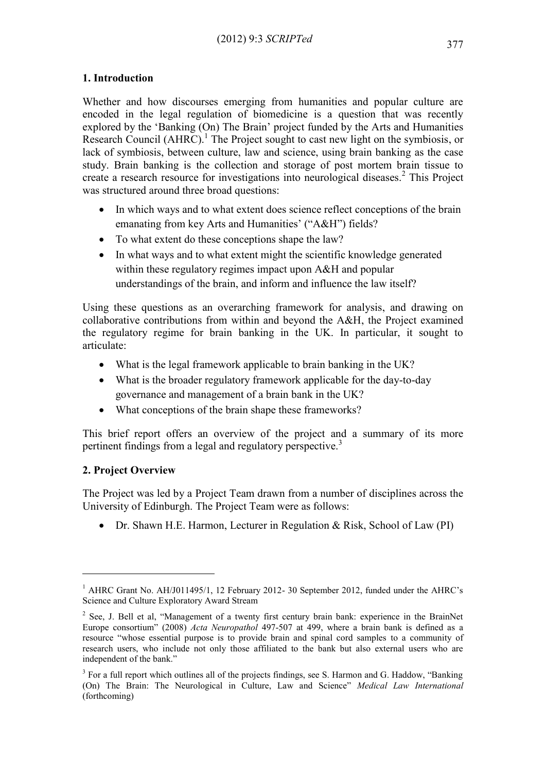## **1. Introduction**

Whether and how discourses emerging from humanities and popular culture are encoded in the legal regulation of biomedicine is a question that was recently explored by the 'Banking (On) The Brain' project funded by the Arts and Humanities Research Council  $(AHRC)^{1}$  The Project sought to cast new light on the symbiosis, or lack of symbiosis, between culture, law and science, using brain banking as the case study. Brain banking is the collection and storage of post mortem brain tissue to create a research resource for investigations into neurological diseases.<sup>2</sup> This Project was structured around three broad questions:

- In which ways and to what extent does science reflect conceptions of the brain emanating from key Arts and Humanities' ("A&H") fields?
- To what extent do these conceptions shape the law?
- In what ways and to what extent might the scientific knowledge generated within these regulatory regimes impact upon A&H and popular understandings of the brain, and inform and influence the law itself?

Using these questions as an overarching framework for analysis, and drawing on collaborative contributions from within and beyond the A&H, the Project examined the regulatory regime for brain banking in the UK. In particular, it sought to articulate:

- What is the legal framework applicable to brain banking in the UK?
- What is the broader regulatory framework applicable for the day-to-day governance and management of a brain bank in the UK?
- What conceptions of the brain shape these frameworks?

This brief report offers an overview of the project and a summary of its more pertinent findings from a legal and regulatory perspective.<sup>3</sup>

# **2. Project Overview**

1

The Project was led by a Project Team drawn from a number of disciplines across the University of Edinburgh. The Project Team were as follows:

Dr. Shawn H.E. Harmon, Lecturer in Regulation & Risk, School of Law (PI)

<sup>&</sup>lt;sup>1</sup> AHRC Grant No. AH/J011495/1, 12 February 2012- 30 September 2012, funded under the AHRC's Science and Culture Exploratory Award Stream

 $2^2$  See, J. Bell et al, "Management of a twenty first century brain bank: experience in the BrainNet Europe consortium" (2008) *Acta Neuropathol* 497-507 at 499, where a brain bank is defined as a resource "whose essential purpose is to provide brain and spinal cord samples to a community of research users, who include not only those affiliated to the bank but also external users who are independent of the bank."

<sup>&</sup>lt;sup>3</sup> For a full report which outlines all of the projects findings, see S. Harmon and G. Haddow, "Banking (On) The Brain: The Neurological in Culture, Law and Science" *Medical Law International* (forthcoming)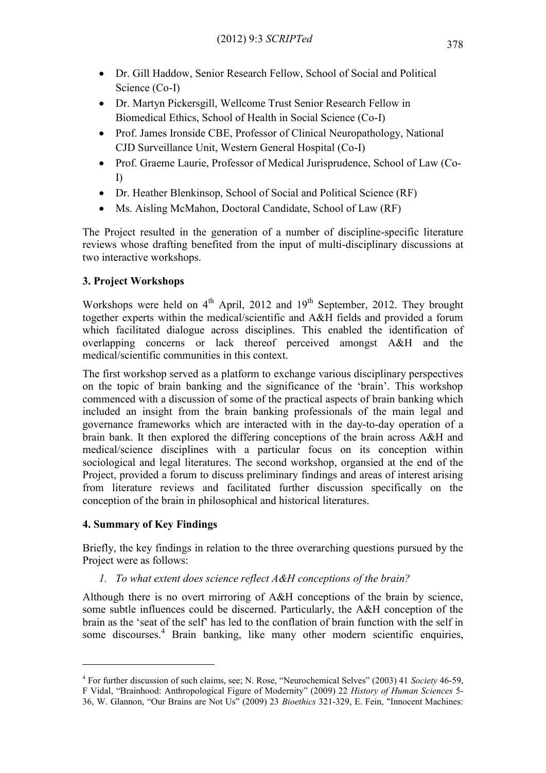- Dr. Gill Haddow, Senior Research Fellow, School of Social and Political Science (Co-I)
- Dr. Martyn Pickersgill, Wellcome Trust Senior Research Fellow in Biomedical Ethics, School of Health in Social Science (Co-I)
- Prof. James Ironside CBE, Professor of Clinical Neuropathology, National CJD Surveillance Unit, Western General Hospital (Co-I)
- Prof. Graeme Laurie, Professor of Medical Jurisprudence, School of Law (Co-I)
- Dr. Heather Blenkinsop, School of Social and Political Science (RF)
- Ms. Aisling McMahon, Doctoral Candidate, School of Law (RF)

The Project resulted in the generation of a number of discipline-specific literature reviews whose drafting benefited from the input of multi-disciplinary discussions at two interactive workshops.

# **3. Project Workshops**

Workshops were held on  $4<sup>th</sup>$  April, 2012 and 19<sup>th</sup> September, 2012. They brought together experts within the medical/scientific and A&H fields and provided a forum which facilitated dialogue across disciplines. This enabled the identification of overlapping concerns or lack thereof perceived amongst A&H and the medical/scientific communities in this context.

The first workshop served as a platform to exchange various disciplinary perspectives on the topic of brain banking and the significance of the 'brain'. This workshop commenced with a discussion of some of the practical aspects of brain banking which included an insight from the brain banking professionals of the main legal and governance frameworks which are interacted with in the day-to-day operation of a brain bank. It then explored the differing conceptions of the brain across A&H and medical/science disciplines with a particular focus on its conception within sociological and legal literatures. The second workshop, organsied at the end of the Project, provided a forum to discuss preliminary findings and areas of interest arising from literature reviews and facilitated further discussion specifically on the conception of the brain in philosophical and historical literatures.

## **4. Summary of Key Findings**

1

Briefly, the key findings in relation to the three overarching questions pursued by the Project were as follows:

*1. To what extent does science reflect A&H conceptions of the brain?*

Although there is no overt mirroring of A&H conceptions of the brain by science, some subtle influences could be discerned. Particularly, the A&H conception of the brain as the 'seat of the self' has led to the conflation of brain function with the self in some discourses.<sup>4</sup> Brain banking, like many other modern scientific enquiries,

<sup>4</sup> For further discussion of such claims, see; N. Rose, "Neurochemical Selves" (2003) 41 *Society* 46-59, F Vidal, "Brainhood: Anthropological Figure of Modernity" (2009) 22 *History of Human Sciences* 5- 36, W. Glannon, "Our Brains are Not Us" (2009) 23 *Bioethics* 321-329, E. Fein, "Innocent Machines: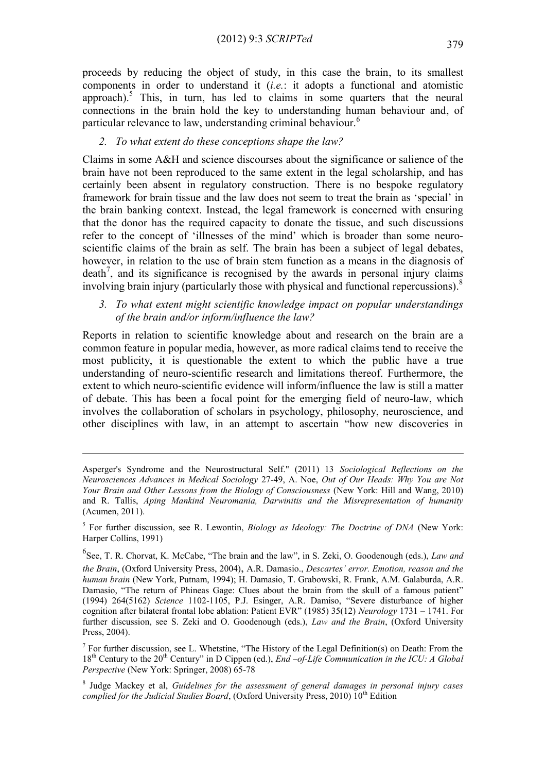proceeds by reducing the object of study, in this case the brain, to its smallest components in order to understand it (*i.e.*: it adopts a functional and atomistic approach).<sup>5</sup> This, in turn, has led to claims in some quarters that the neural connections in the brain hold the key to understanding human behaviour and, of particular relevance to law, understanding criminal behaviour.<sup>6</sup>

#### *2. To what extent do these conceptions shape the law?*

Claims in some A&H and science discourses about the significance or salience of the brain have not been reproduced to the same extent in the legal scholarship, and has certainly been absent in regulatory construction. There is no bespoke regulatory framework for brain tissue and the law does not seem to treat the brain as 'special' in the brain banking context. Instead, the legal framework is concerned with ensuring that the donor has the required capacity to donate the tissue, and such discussions refer to the concept of 'illnesses of the mind' which is broader than some neuroscientific claims of the brain as self. The brain has been a subject of legal debates, however, in relation to the use of brain stem function as a means in the diagnosis of  $death<sup>7</sup>$ , and its significance is recognised by the awards in personal injury claims involving brain injury (particularly those with physical and functional repercussions). 8

*3. To what extent might scientific knowledge impact on popular understandings of the brain and/or inform/influence the law?*

Reports in relation to scientific knowledge about and research on the brain are a common feature in popular media, however, as more radical claims tend to receive the most publicity, it is questionable the extent to which the public have a true understanding of neuro-scientific research and limitations thereof. Furthermore, the extent to which neuro-scientific evidence will inform/influence the law is still a matter of debate. This has been a focal point for the emerging field of neuro-law, which involves the collaboration of scholars in psychology, philosophy, neuroscience, and other disciplines with law, in an attempt to ascertain "how new discoveries in

1

Asperger's Syndrome and the Neurostructural Self." (2011) 13 *Sociological Reflections on the Neurosciences Advances in Medical Sociology* 27-49, A. Noe, *Out of Our Heads: Why You are Not Your Brain and Other Lessons from the Biology of Consciousness* (New York: Hill and Wang, 2010) and R. Tallis, *Aping Mankind Neuromania, Darwinitis and the Misrepresentation of humanity* (Acumen, 2011).

<sup>5</sup> For further discussion, see R. Lewontin, *Biology as Ideology: The Doctrine of DNA* (New York: Harper Collins, 1991)

<sup>6</sup> See, T. R. Chorvat, K. McCabe, "The brain and the law", in S. Zeki, O. Goodenough (eds.), *Law and the Brain*, (Oxford University Press, 2004), A.R. Damasio., *Descartes' error. Emotion, reason and the human brain* (New York, Putnam, 1994); H. Damasio, T. Grabowski, R. Frank, A.M. Galaburda, A.R. Damasio, "The return of Phineas Gage: Clues about the brain from the skull of a famous patient" (1994) 264(5162) *Science* 1102-1105, P.J. Esinger, A.R. Damiso, "Severe disturbance of higher cognition after bilateral frontal lobe ablation: Patient EVR" (1985) 35(12) *Neurology* 1731 – 1741. For further discussion, see S. Zeki and O. Goodenough (eds.), *Law and the Brain*, (Oxford University Press, 2004).

<sup>&</sup>lt;sup>7</sup> For further discussion, see L. Whetstine, "The History of the Legal Definition(s) on Death: From the 18th Century to the 20th Century" in D Cippen (ed.), *End –of-Life Communication in the ICU: A Global Perspective* (New York: Springer, 2008) 65-78

<sup>8</sup> Judge Mackey et al, *Guidelines for the assessment of general damages in personal injury cases complied for the Judicial Studies Board*, (Oxford University Press, 2010) 10<sup>th</sup> Edition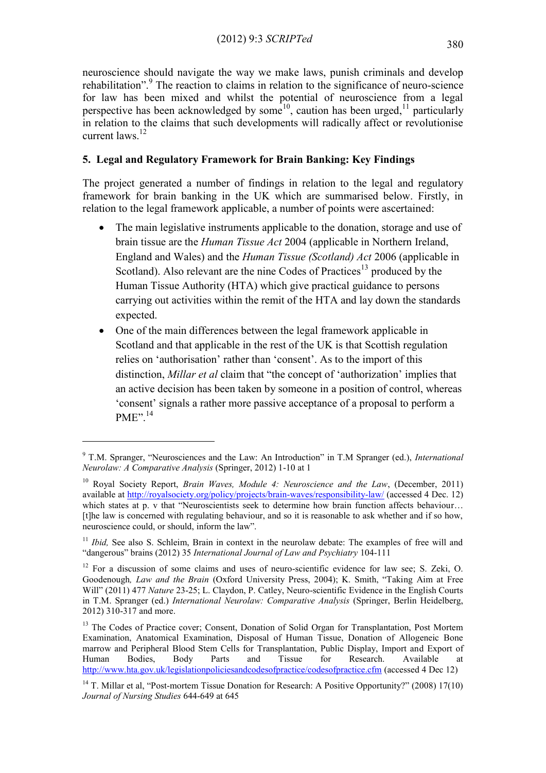neuroscience should navigate the way we make laws, punish criminals and develop rehabilitation".<sup>9</sup> The reaction to claims in relation to the significance of neuro-science for law has been mixed and whilst the potential of neuroscience from a legal perspective has been acknowledged by some<sup>10</sup>, caution has been urged,<sup>11</sup> particularly in relation to the claims that such developments will radically affect or revolutionise current laws.<sup>12</sup>

# **5. Legal and Regulatory Framework for Brain Banking: Key Findings**

The project generated a number of findings in relation to the legal and regulatory framework for brain banking in the UK which are summarised below. Firstly, in relation to the legal framework applicable, a number of points were ascertained:

- The main legislative instruments applicable to the donation, storage and use of brain tissue are the *Human Tissue Act* 2004 (applicable in Northern Ireland, England and Wales) and the *Human Tissue (Scotland) Act* 2006 (applicable in Scotland). Also relevant are the nine Codes of Practices<sup>13</sup> produced by the Human Tissue Authority (HTA) which give practical guidance to persons carrying out activities within the remit of the HTA and lay down the standards expected.
- One of the main differences between the legal framework applicable in Scotland and that applicable in the rest of the UK is that Scottish regulation relies on 'authorisation' rather than 'consent'. As to the import of this distinction, *Millar et al* claim that "the concept of 'authorization' implies that an active decision has been taken by someone in a position of control, whereas 'consent' signals a rather more passive acceptance of a proposal to perform a PME".<sup>14</sup>

<u>.</u>

<sup>9</sup> T.M. Spranger, "Neurosciences and the Law: An Introduction" in T.M Spranger (ed.), *International Neurolaw: A Comparative Analysis* (Springer, 2012) 1-10 at 1

<sup>10</sup> Royal Society Report, *Brain Waves, Module 4: Neuroscience and the Law*, (December, 2011) available at<http://royalsociety.org/policy/projects/brain-waves/responsibility-law/> (accessed 4 Dec. 12) which states at p. v that "Neuroscientists seek to determine how brain function affects behaviour... [t]he law is concerned with regulating behaviour, and so it is reasonable to ask whether and if so how, neuroscience could, or should, inform the law".

<sup>&</sup>lt;sup>11</sup> *Ibid*, See also S. Schleim, Brain in context in the neurolaw debate: The examples of free will and "dangerous" brains (2012) 35 *International Journal of Law and Psychiatry* 104-111

<sup>&</sup>lt;sup>12</sup> For a discussion of some claims and uses of neuro-scientific evidence for law see; S. Zeki, O. Goodenough*, Law and the Brain* (Oxford University Press, 2004); K. Smith, "Taking Aim at Free Will" (2011) 477 *Nature* 23-25; L. Claydon, P. Catley, Neuro-scientific Evidence in the English Courts in T.M. Spranger (ed.) *International Neurolaw: Comparative Analysis* (Springer, Berlin Heidelberg, 2012) 310-317 and more.

<sup>&</sup>lt;sup>13</sup> The Codes of Practice cover; Consent, Donation of Solid Organ for Transplantation, Post Mortem Examination, Anatomical Examination, Disposal of Human Tissue, Donation of Allogeneic Bone marrow and Peripheral Blood Stem Cells for Transplantation, Public Display, Import and Export of Human Bodies, Body Parts and Tissue for Research. Available at <http://www.hta.gov.uk/legislationpoliciesandcodesofpractice/codesofpractice.cfm> (accessed 4 Dec 12)

<sup>&</sup>lt;sup>14</sup> T. Millar et al, "Post-mortem Tissue Donation for Research: A Positive Opportunity?" (2008) 17(10) *Journal of Nursing Studies* 644-649 at 645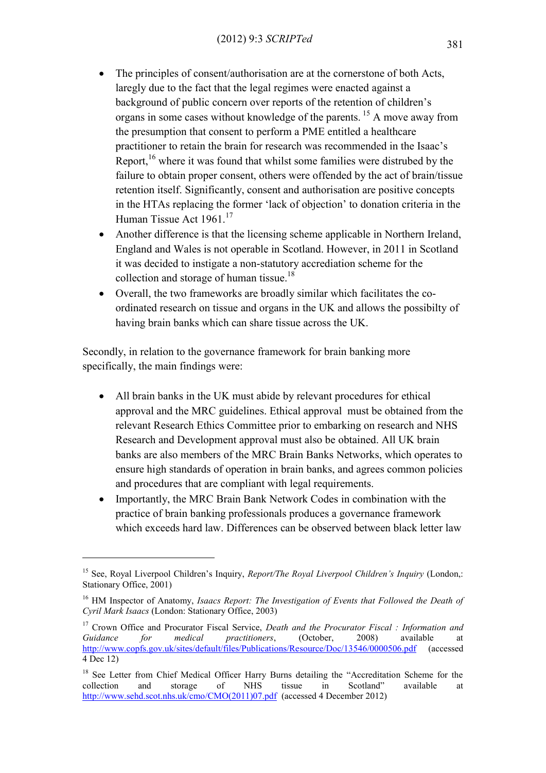- The principles of consent/authorisation are at the cornerstone of both Acts, laregly due to the fact that the legal regimes were enacted against a background of public concern over reports of the retention of children's organs in some cases without knowledge of the parents. <sup>15</sup> A move away from the presumption that consent to perform a PME entitled a healthcare practitioner to retain the brain for research was recommended in the Isaac's Report,<sup>16</sup> where it was found that whilst some families were distrubed by the failure to obtain proper consent, others were offended by the act of brain/tissue retention itself. Significantly, consent and authorisation are positive concepts in the HTAs replacing the former 'lack of objection' to donation criteria in the Human Tissue Act 1961.<sup>17</sup>
- Another difference is that the licensing scheme applicable in Northern Ireland, England and Wales is not operable in Scotland. However, in 2011 in Scotland it was decided to instigate a non-statutory accrediation scheme for the collection and storage of human tissue.<sup>18</sup>
- Overall, the two frameworks are broadly similar which facilitates the coordinated research on tissue and organs in the UK and allows the possibilty of having brain banks which can share tissue across the UK.

Secondly, in relation to the governance framework for brain banking more specifically, the main findings were:

- All brain banks in the UK must abide by relevant procedures for ethical approval and the MRC guidelines. Ethical approval must be obtained from the relevant Research Ethics Committee prior to embarking on research and NHS Research and Development approval must also be obtained. All UK brain banks are also members of the MRC Brain Banks Networks, which operates to ensure high standards of operation in brain banks, and agrees common policies and procedures that are compliant with legal requirements.
- Importantly, the MRC Brain Bank Network Codes in combination with the practice of brain banking professionals produces a governance framework which exceeds hard law. Differences can be observed between black letter law

<u>.</u>

<sup>15</sup> See, Royal Liverpool Children's Inquiry, *Report/The Royal Liverpool Children's Inquiry* (London,: Stationary Office, 2001)

<sup>&</sup>lt;sup>16</sup> HM Inspector of Anatomy, *Isaacs Report: The Investigation of Events that Followed the Death of Cyril Mark Isaacs* (London: Stationary Office, 2003)

<sup>17</sup> Crown Office and Procurator Fiscal Service, *Death and the Procurator Fiscal : Information and Guidance for medical practitioners*, (October, 2008) available at <http://www.copfs.gov.uk/sites/default/files/Publications/Resource/Doc/13546/0000506.pdf>(accessed 4 Dec 12)

<sup>&</sup>lt;sup>18</sup> See Letter from Chief Medical Officer Harry Burns detailing the "Accreditation Scheme for the collection and storage of NHS tissue in Scotland" available at [http://www.sehd.scot.nhs.uk/cmo/CMO\(2011\)07.pdf](http://www.sehd.scot.nhs.uk/cmo/CMO(2011)07.pdf) (accessed 4 December 2012)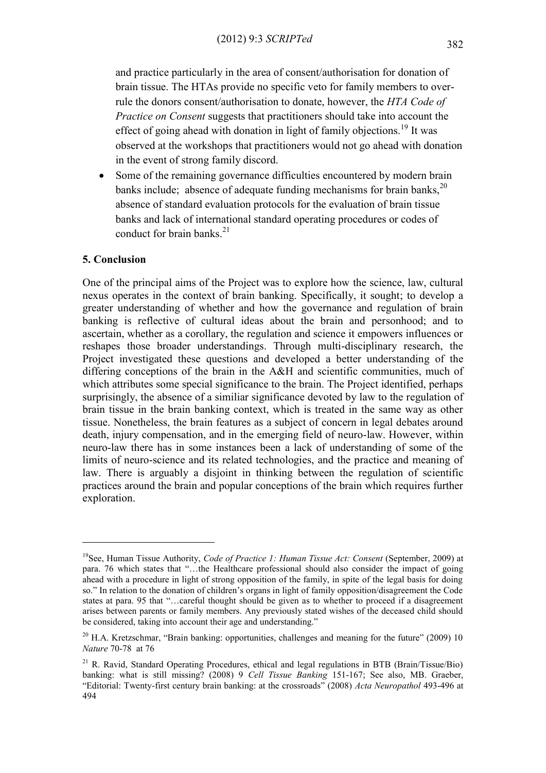and practice particularly in the area of consent/authorisation for donation of brain tissue. The HTAs provide no specific veto for family members to overrule the donors consent/authorisation to donate, however, the *HTA Code of Practice on Consent* suggests that practitioners should take into account the effect of going ahead with donation in light of family objections.<sup>19</sup> It was observed at the workshops that practitioners would not go ahead with donation in the event of strong family discord.

• Some of the remaining governance difficulties encountered by modern brain banks include; absence of adequate funding mechanisms for brain banks,  $2^{0}$ absence of standard evaluation protocols for the evaluation of brain tissue banks and lack of international standard operating procedures or codes of conduct for brain banks. $^{21}$ 

### **5. Conclusion**

1

One of the principal aims of the Project was to explore how the science, law, cultural nexus operates in the context of brain banking. Specifically, it sought; to develop a greater understanding of whether and how the governance and regulation of brain banking is reflective of cultural ideas about the brain and personhood; and to ascertain, whether as a corollary, the regulation and science it empowers influences or reshapes those broader understandings. Through multi-disciplinary research, the Project investigated these questions and developed a better understanding of the differing conceptions of the brain in the A&H and scientific communities, much of which attributes some special significance to the brain. The Project identified, perhaps surprisingly, the absence of a similiar significance devoted by law to the regulation of brain tissue in the brain banking context, which is treated in the same way as other tissue. Nonetheless, the brain features as a subject of concern in legal debates around death, injury compensation, and in the emerging field of neuro-law. However, within neuro-law there has in some instances been a lack of understanding of some of the limits of neuro-science and its related technologies, and the practice and meaning of law. There is arguably a disjoint in thinking between the regulation of scientific practices around the brain and popular conceptions of the brain which requires further exploration.

<sup>19</sup>See, Human Tissue Authority, *Code of Practice 1: Human Tissue Act: Consent* (September, 2009) at para. 76 which states that "…the Healthcare professional should also consider the impact of going ahead with a procedure in light of strong opposition of the family, in spite of the legal basis for doing so." In relation to the donation of children's organs in light of family opposition/disagreement the Code states at para. 95 that "…careful thought should be given as to whether to proceed if a disagreement arises between parents or family members. Any previously stated wishes of the deceased child should be considered, taking into account their age and understanding."

<sup>&</sup>lt;sup>20</sup> H.A. Kretzschmar, "Brain banking: opportunities, challenges and meaning for the future" (2009) 10 *Nature* 70-78 at 76

 $21$  R. Ravid, Standard Operating Procedures, ethical and legal regulations in BTB (Brain/Tissue/Bio) banking: what is still missing? (2008) 9 *Cell Tissue Banking* 151-167; See also, MB. Graeber, "Editorial: Twenty-first century brain banking: at the crossroads" (2008) *Acta Neuropathol* 493-496 at 494